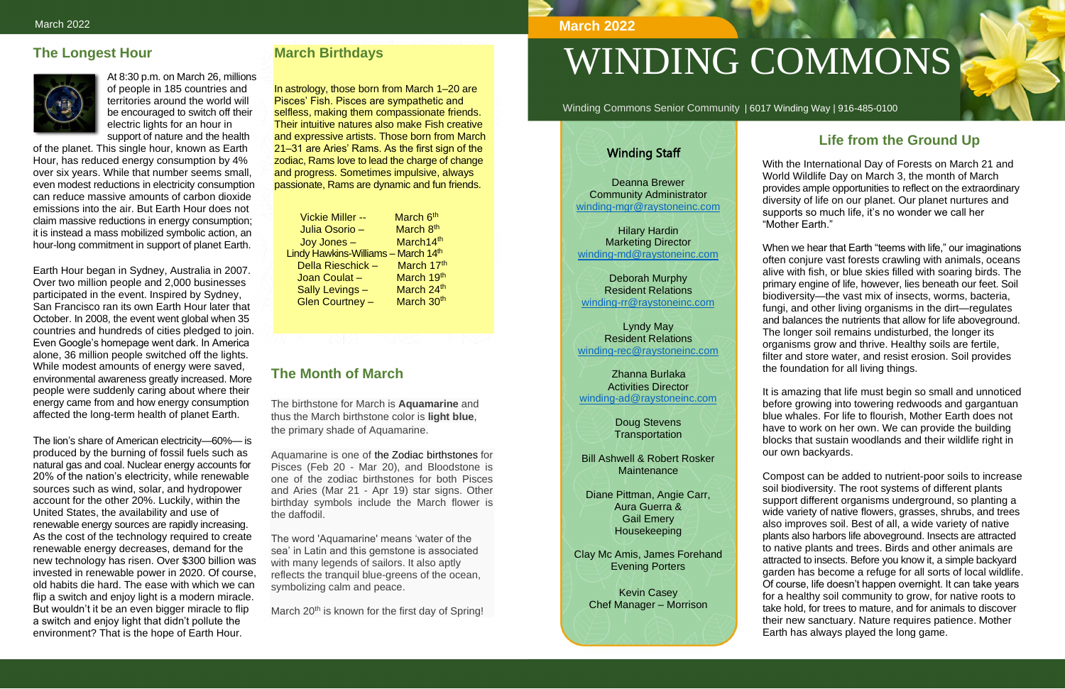#### **The Longest Hour**



At 8:30 p.m. on March 26, millions of people in 185 countries and territories around the world will be encouraged to switch off their electric lights for an hour in support of nature and the health

of the planet. This single hour, known as Earth Hour, has reduced energy consumption by 4% over six years. While that number seems small, even modest reductions in electricity consumption can reduce massive amounts of carbon dioxide emissions into the air. But Earth Hour does not claim massive reductions in energy consumption; it is instead a mass mobilized symbolic action, an hour-long commitment in support of planet Earth.

Earth Hour began in Sydney, Australia in 2007. Over two million people and 2,000 businesses participated in the event. Inspired by Sydney, San Francisco ran its own Earth Hour later that October. In 2008, the event went global when 35 countries and hundreds of cities pledged to join. Even Google's homepage went dark. In America alone, 36 million people switched off the lights. While modest amounts of energy were saved, environmental awareness greatly increased. More people were suddenly caring about where their energy came from and how energy consumption affected the long-term health of planet Earth.

| <b>Vickie Miller --</b>                         | March 6 <sup>th</sup> |
|-------------------------------------------------|-----------------------|
| Julia Osorio -                                  | March 8th             |
| Joy Jones -                                     | March14th             |
| Lindy Hawkins-Williams - March 14 <sup>th</sup> |                       |
| Della Rieschick-                                | March 17th            |
| Joan Coulat-                                    | March 19th            |
| Sally Levings -                                 | March 24th            |
| <b>Glen Courtney -</b>                          | March 30th            |

The lion's share of American electricity—60%— is produced by the burning of fossil fuels such as natural gas and coal. Nuclear energy accounts for 20% of the nation's electricity, while renewable sources such as wind, solar, and hydropower account for the other 20%. Luckily, within the United States, the availability and use of renewable energy sources are rapidly increasing. As the cost of the technology required to create renewable energy decreases, demand for the new technology has risen. Over \$300 billion was invested in renewable power in 2020. Of course, old habits die hard. The ease with which we can flip a switch and enjoy light is a modern miracle. But wouldn't it be an even bigger miracle to flip a switch and enjoy light that didn't pollute the environment? That is the hope of Earth Hour.

#### **March Birthdays**

In astrology, those born from March 1–20 are Pisces' Fish. Pisces are sympathetic and selfless, making them compassionate friends. Their intuitive natures also make Fish creative and expressive artists. Those born from March 21–31 are Aries' Rams. As the first sign of the zodiac, Rams love to lead the charge of change and progress. Sometimes impulsive, always passionate, Rams are dynamic and fun friends.

### **The Month of March**

The birthstone for March is **Aquamarine** and thus the March birthstone color is **light blue**, the primary shade of Aquamarine.

Doug Stevens **Transportation** 

Bill Ashwell & Robert Rosker **Maintenance** 

Aquamarine is one of the [Zodiac birthstones](http://www.bernardine.com/birthstone/zodiac-birthstones.htm) for Pisces (Feb 20 - Mar 20), and Bloodstone is one of the zodiac birthstones for both Pisces and Aries (Mar 21 - Apr 19) star signs. Other birthday symbols include the March flower is the daffodil.

The word 'Aquamarine' means 'water of the sea' in Latin and this gemstone is associated with many legends of sailors. It also aptly reflects the tranquil blue-greens of the ocean, symbolizing calm and peace.

March 20<sup>th</sup> is known for the first day of Spring!

# WINDING COMMONS

Winding Commons Senior Community | 6017 Winding Way | 916-485-0100

# **Life from the Ground Up**

With the International Day of Forests on March 21 and World Wildlife Day on March 3, the month of March provides ample opportunities to reflect on the extraordinary diversity of life on our planet. Our planet nurtures and supports so much life, it's no wonder we call her "Mother Earth."

When we hear that Earth "teems with life," our imaginations often conjure vast forests crawling with animals, oceans alive with fish, or blue skies filled with soaring birds. The primary engine of life, however, lies beneath our feet. Soil biodiversity—the vast mix of insects, worms, bacteria, fungi, and other living organisms in the dirt—regulates and balances the nutrients that allow for life aboveground. The longer soil remains undisturbed, the longer its organisms grow and thrive. Healthy soils are fertile, filter and store water, and resist erosion. Soil provides the foundation for all living things.

It is amazing that life must begin so small and unnoticed before growing into towering redwoods and gargantuan blue whales. For life to flourish, Mother Earth does not have to work on her own. We can provide the building blocks that sustain woodlands and their wildlife right in our own backyards.

Compost can be added to nutrient-poor soils to increase soil biodiversity. The root systems of different plants support different organisms underground, so planting a wide variety of native flowers, grasses, shrubs, and trees also improves soil. Best of all, a wide variety of native plants also harbors life aboveground. Insects are attracted to native plants and trees. Birds and other animals are attracted to insects. Before you know it, a simple backyard garden has become a refuge for all sorts of local wildlife. Of course, life doesn't happen overnight. It can take years for a healthy soil community to grow, for native roots to take hold, for trees to mature, and for animals to discover their new sanctuary. Nature requires patience. Mother Earth has always played the long game.

#### **March 2022**

#### Winding Staff

Deanna Brewer Community Administrator [winding-mgr@raystoneinc.com](mailto:winding-mgr@raystoneinc.com) 

Hilary Hardin Marketing Director [winding-md@raystoneinc.com](mailto:winding-md@raystoneinc.com)

Deborah Murphy Resident Relations [winding-rr@raystoneinc.com](mailto:winding-rr@raystoneinc.com)

Lyndy May Resident Relations [winding-rec@raystoneinc.com](mailto:winding-rec@raystoneinc.com)

 Zhanna Burlaka Activities Director [winding-ad@raystoneinc.com](mailto:winding-ad@raystoneinc.com)

Diane Pittman, Angie Carr, Aura Guerra & Gail Emery Housekeeping

Clay Mc Amis, James Forehand Evening Porters

Kevin Casey Chef Manager – Morrison